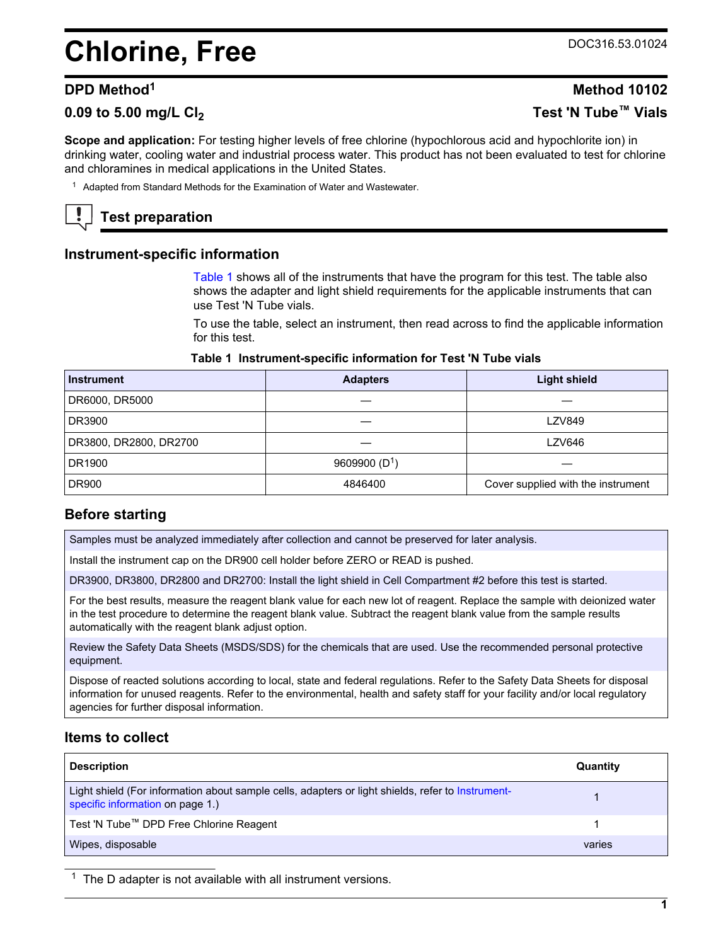# <span id="page-0-0"></span>**Chlorine, Free** DOC316.53.01024

# **0.09 to 5.00 mg/L Cl<sup>2</sup> Test 'N Tube™ Vials**

**Scope and application:** For testing higher levels of free chlorine (hypochlorous acid and hypochlorite ion) in drinking water, cooling water and industrial process water. This product has not been evaluated to test for chlorine and chloramines in medical applications in the United States.

<sup>1</sup> Adapted from Standard Methods for the Examination of Water and Wastewater.

# **Test preparation**

#### **Instrument-specific information**

Table 1 shows all of the instruments that have the program for this test. The table also shows the adapter and light shield requirements for the applicable instruments that can use Test 'N Tube vials.

To use the table, select an instrument, then read across to find the applicable information for this test.

#### **Table 1 Instrument-specific information for Test 'N Tube vials**

| <b>Instrument</b>      | <b>Adapters</b> | <b>Light shield</b>                |
|------------------------|-----------------|------------------------------------|
| DR6000, DR5000         |                 |                                    |
| DR3900                 |                 | <b>LZV849</b>                      |
| DR3800, DR2800, DR2700 |                 | <b>LZV646</b>                      |
| DR1900                 | 9609900 $(D1)$  |                                    |
| <b>DR900</b>           | 4846400         | Cover supplied with the instrument |

### **Before starting**

Samples must be analyzed immediately after collection and cannot be preserved for later analysis.

Install the instrument cap on the DR900 cell holder before ZERO or READ is pushed.

DR3900, DR3800, DR2800 and DR2700: Install the light shield in Cell Compartment #2 before this test is started.

For the best results, measure the reagent blank value for each new lot of reagent. Replace the sample with deionized water in the test procedure to determine the reagent blank value. Subtract the reagent blank value from the sample results automatically with the reagent blank adjust option.

Review the Safety Data Sheets (MSDS/SDS) for the chemicals that are used. Use the recommended personal protective equipment.

Dispose of reacted solutions according to local, state and federal regulations. Refer to the Safety Data Sheets for disposal information for unused reagents. Refer to the environmental, health and safety staff for your facility and/or local regulatory agencies for further disposal information.

#### **Items to collect**

| <b>Description</b>                                                                                                                    | Quantity |
|---------------------------------------------------------------------------------------------------------------------------------------|----------|
| Light shield (For information about sample cells, adapters or light shields, refer to Instrument-<br>specific information on page 1.) |          |
| Test 'N Tube™ DPD Free Chlorine Reagent                                                                                               |          |
| Wipes, disposable                                                                                                                     | varies   |

 $1$  The D adapter is not available with all instrument versions.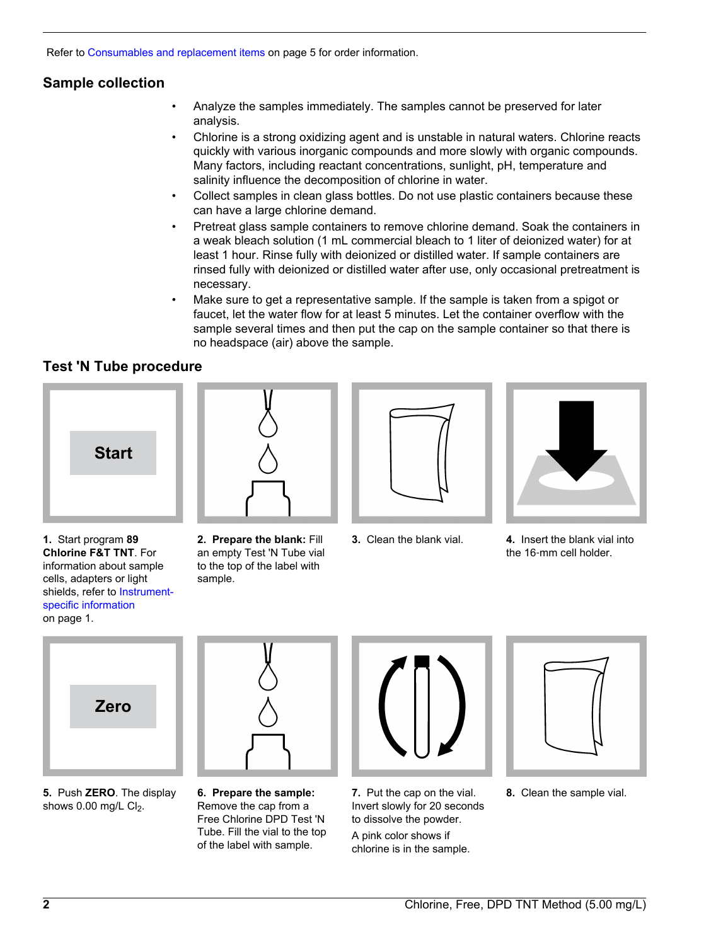Refer to [Consumables and replacement items](#page-4-0) on page 5 for order information.

# **Sample collection**

- Analyze the samples immediately. The samples cannot be preserved for later analysis.
- Chlorine is a strong oxidizing agent and is unstable in natural waters. Chlorine reacts quickly with various inorganic compounds and more slowly with organic compounds. Many factors, including reactant concentrations, sunlight, pH, temperature and salinity influence the decomposition of chlorine in water.
- Collect samples in clean glass bottles. Do not use plastic containers because these can have a large chlorine demand.
- Pretreat glass sample containers to remove chlorine demand. Soak the containers in a weak bleach solution (1 mL commercial bleach to 1 liter of deionized water) for at least 1 hour. Rinse fully with deionized or distilled water. If sample containers are rinsed fully with deionized or distilled water after use, only occasional pretreatment is necessary.
- Make sure to get a representative sample. If the sample is taken from a spigot or faucet, let the water flow for at least 5 minutes. Let the container overflow with the sample several times and then put the cap on the sample container so that there is no headspace (air) above the sample.

# **Test 'N Tube procedure**









**1.** Start program **89 Chlorine F&T TNT**. For information about sample cells, adapters or light shields, refer to [Instrument](#page-0-0)[specific information](#page-0-0) on page 1.

**2. Prepare the blank:** Fill an empty Test 'N Tube vial to the top of the label with sample.



**5.** Push **ZERO**. The display shows  $0.00$  mg/L  $Cl<sub>2</sub>$ .



**6. Prepare the sample:** Remove the cap from a Free Chlorine DPD Test 'N Tube. Fill the vial to the top of the label with sample.



**7.** Put the cap on the vial. Invert slowly for 20 seconds to dissolve the powder. A pink color shows if chlorine is in the sample.



**8.** Clean the sample vial.

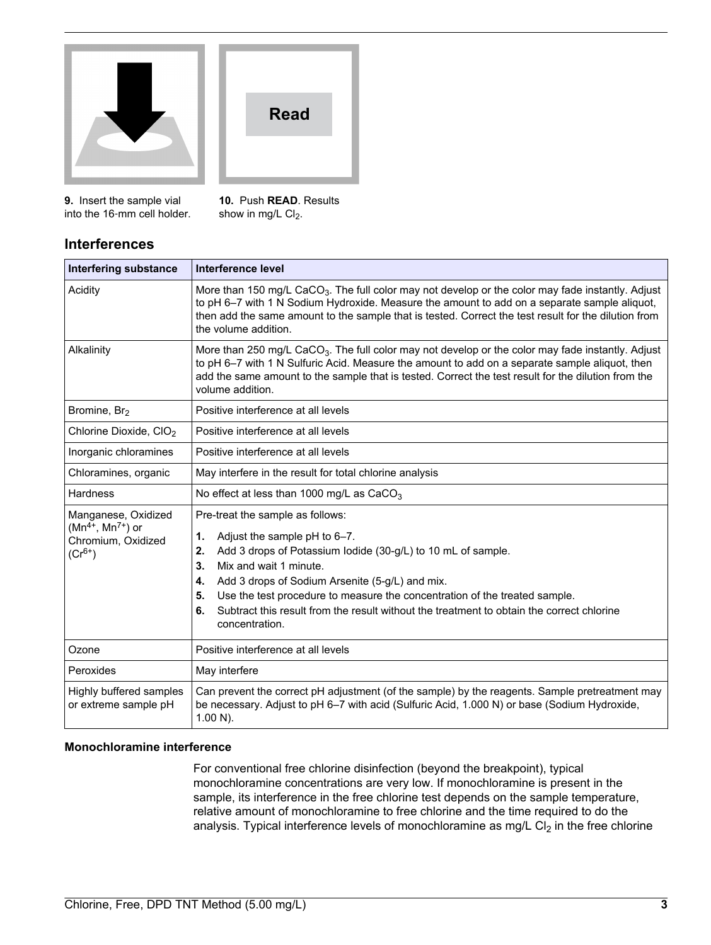

**Read**

**9.** Insert the sample vial into the 16‑mm cell holder. **10.** Push **READ**. Results show in mg/L  $Cl<sub>2</sub>$ .

# **Interferences**

| <b>Interfering substance</b>                                                        | <b>Interference level</b>                                                                                                                                                                                                                                                                                                                                                                                                                      |  |  |
|-------------------------------------------------------------------------------------|------------------------------------------------------------------------------------------------------------------------------------------------------------------------------------------------------------------------------------------------------------------------------------------------------------------------------------------------------------------------------------------------------------------------------------------------|--|--|
| Acidity                                                                             | More than 150 mg/L CaCO <sub>3</sub> . The full color may not develop or the color may fade instantly. Adjust<br>to pH 6-7 with 1 N Sodium Hydroxide. Measure the amount to add on a separate sample aliquot,<br>then add the same amount to the sample that is tested. Correct the test result for the dilution from<br>the volume addition.                                                                                                  |  |  |
| Alkalinity                                                                          | More than 250 mg/L CaCO <sub>3</sub> . The full color may not develop or the color may fade instantly. Adjust<br>to pH 6-7 with 1 N Sulfuric Acid. Measure the amount to add on a separate sample aliquot, then<br>add the same amount to the sample that is tested. Correct the test result for the dilution from the<br>volume addition.                                                                                                     |  |  |
| Bromine, Br <sub>2</sub>                                                            | Positive interference at all levels                                                                                                                                                                                                                                                                                                                                                                                                            |  |  |
| Chlorine Dioxide, CIO <sub>2</sub>                                                  | Positive interference at all levels                                                                                                                                                                                                                                                                                                                                                                                                            |  |  |
| Inorganic chloramines                                                               | Positive interference at all levels                                                                                                                                                                                                                                                                                                                                                                                                            |  |  |
| Chloramines, organic                                                                | May interfere in the result for total chlorine analysis                                                                                                                                                                                                                                                                                                                                                                                        |  |  |
| <b>Hardness</b>                                                                     | No effect at less than 1000 mg/L as $CaCO3$                                                                                                                                                                                                                                                                                                                                                                                                    |  |  |
| Manganese, Oxidized<br>$(Mn^{4+}, Mn^{7+})$ or<br>Chromium, Oxidized<br>$(Cr^{6+})$ | Pre-treat the sample as follows:<br>Adjust the sample pH to 6-7.<br>1.<br>Add 3 drops of Potassium lodide (30-g/L) to 10 mL of sample.<br>2.<br>Mix and wait 1 minute.<br>3.<br>Add 3 drops of Sodium Arsenite (5-g/L) and mix.<br>4.<br>Use the test procedure to measure the concentration of the treated sample.<br>5.<br>Subtract this result from the result without the treatment to obtain the correct chlorine<br>6.<br>concentration. |  |  |
| Ozone                                                                               | Positive interference at all levels                                                                                                                                                                                                                                                                                                                                                                                                            |  |  |
| Peroxides                                                                           | May interfere                                                                                                                                                                                                                                                                                                                                                                                                                                  |  |  |
| Highly buffered samples<br>or extreme sample pH                                     | Can prevent the correct pH adjustment (of the sample) by the reagents. Sample pretreatment may<br>be necessary. Adjust to pH 6-7 with acid (Sulfuric Acid, 1.000 N) or base (Sodium Hydroxide,<br>$1.00 N$ ).                                                                                                                                                                                                                                  |  |  |

#### **Monochloramine interference**

For conventional free chlorine disinfection (beyond the breakpoint), typical monochloramine concentrations are very low. If monochloramine is present in the sample, its interference in the free chlorine test depends on the sample temperature, relative amount of monochloramine to free chlorine and the time required to do the analysis. Typical interference levels of monochloramine as mg/L  $Cl<sub>2</sub>$  in the free chlorine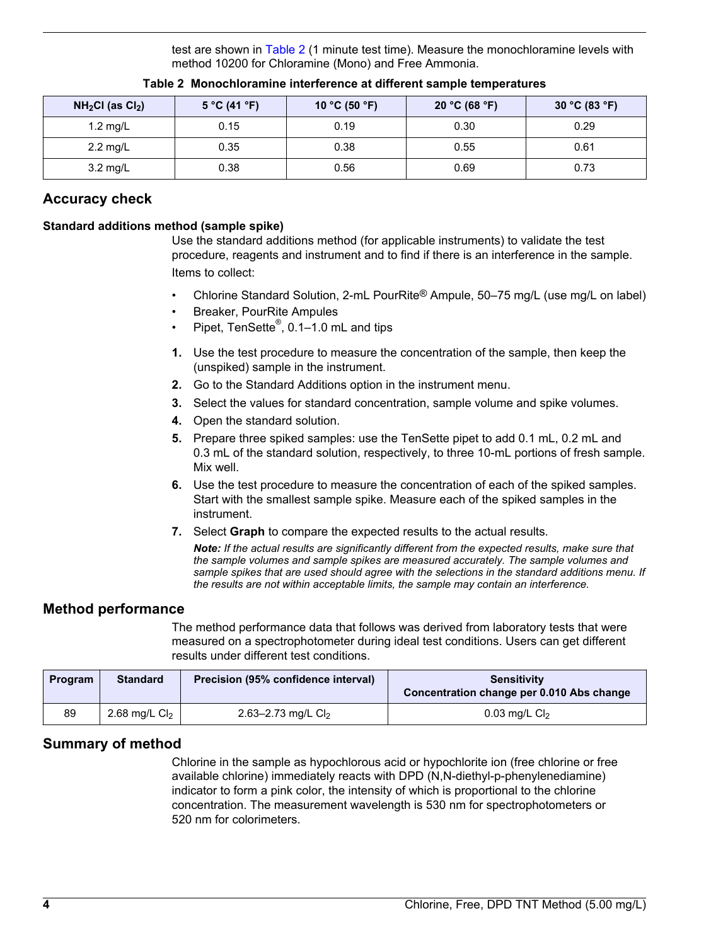test are shown in Table 2 (1 minute test time). Measure the monochloramine levels with method 10200 for Chloramine (Mono) and Free Ammonia.

| $NH2Cl$ (as $Cl2$ ) | 5 °C (41 °F) | 10 °C (50 °F) | 20 °C (68 °F) | 30 °C (83 °F) |
|---------------------|--------------|---------------|---------------|---------------|
| 1.2 $mg/L$          | 0.15         | 0.19          | 0.30          | 0.29          |
| $2.2 \text{ mg/L}$  | 0.35         | 0.38          | 0.55          | 0.61          |
| 3.2 mg/L            | 0.38         | 0.56          | 0.69          | 0.73          |

#### **Table 2 Monochloramine interference at different sample temperatures**

### **Accuracy check**

#### **Standard additions method (sample spike)**

Use the standard additions method (for applicable instruments) to validate the test procedure, reagents and instrument and to find if there is an interference in the sample. Items to collect:

- Chlorine Standard Solution, 2-mL PourRite® Ampule, 50–75 mg/L (use mg/L on label)
- Breaker, PourRite Ampules
- Pipet, TenSette<sup>®</sup>, 0.1–1.0 mL and tips
- **1.** Use the test procedure to measure the concentration of the sample, then keep the (unspiked) sample in the instrument.
- **2.** Go to the Standard Additions option in the instrument menu.
- **3.** Select the values for standard concentration, sample volume and spike volumes.
- **4.** Open the standard solution.
- **5.** Prepare three spiked samples: use the TenSette pipet to add 0.1 mL, 0.2 mL and 0.3 mL of the standard solution, respectively, to three 10-mL portions of fresh sample. Mix well.
- **6.** Use the test procedure to measure the concentration of each of the spiked samples. Start with the smallest sample spike. Measure each of the spiked samples in the instrument.
- **7.** Select **Graph** to compare the expected results to the actual results.

*Note: If the actual results are significantly different from the expected results, make sure that the sample volumes and sample spikes are measured accurately. The sample volumes and sample spikes that are used should agree with the selections in the standard additions menu. If the results are not within acceptable limits, the sample may contain an interference.*

### **Method performance**

The method performance data that follows was derived from laboratory tests that were measured on a spectrophotometer during ideal test conditions. Users can get different results under different test conditions.

| <b>Program</b> | <b>Standard</b> | Precision (95% confidence interval) | <b>Sensitivity</b><br>Concentration change per 0.010 Abs change |  |
|----------------|-----------------|-------------------------------------|-----------------------------------------------------------------|--|
| 89             | 2.68 mg/L $Cl2$ | 2.63–2.73 mg/L $Cl2$                | $0.03$ mg/L $Cl2$                                               |  |

### **Summary of method**

Chlorine in the sample as hypochlorous acid or hypochlorite ion (free chlorine or free available chlorine) immediately reacts with DPD (N,N-diethyl-p-phenylenediamine) indicator to form a pink color, the intensity of which is proportional to the chlorine concentration. The measurement wavelength is 530 nm for spectrophotometers or 520 nm for colorimeters.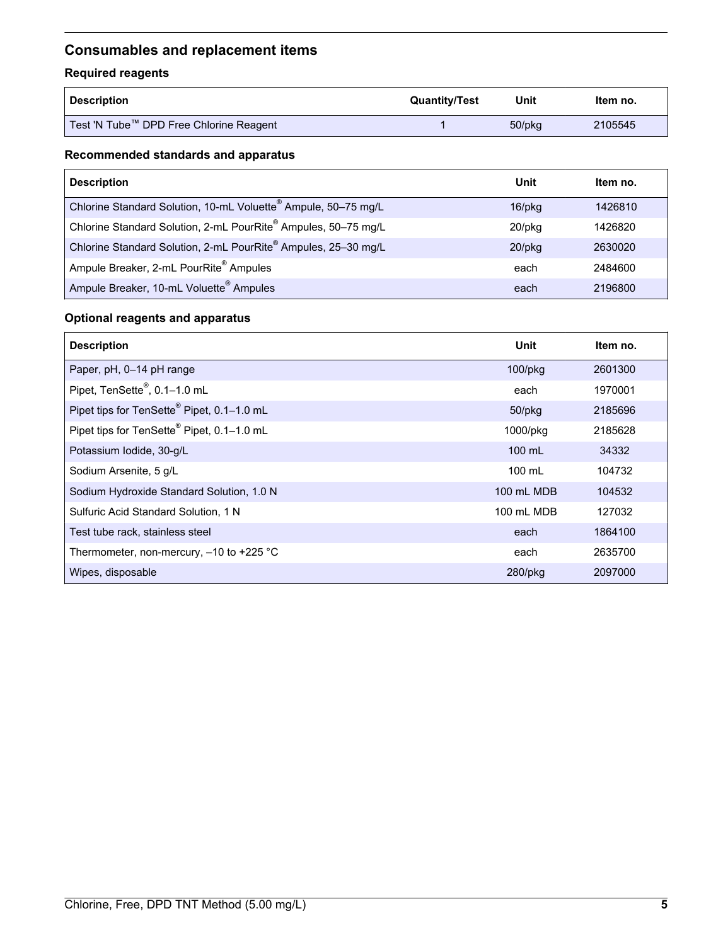# <span id="page-4-0"></span>**Consumables and replacement items**

## **Required reagents**

| <b>Description</b>                      | <b>Quantity/Test</b> | Unit         | Item no. |
|-----------------------------------------|----------------------|--------------|----------|
| Test 'N Tube™ DPD Free Chlorine Reagent |                      | $50$ /p $kg$ | 2105545  |

#### **Recommended standards and apparatus**

| <b>Description</b>                                             | Unit         | Item no. |
|----------------------------------------------------------------|--------------|----------|
| Chlorine Standard Solution, 10-mL Voluette® Ampule, 50-75 mg/L | $16$ /p $kg$ | 1426810  |
| Chlorine Standard Solution, 2-mL PourRite® Ampules, 50-75 mg/L | $20$ /pkg    | 1426820  |
| Chlorine Standard Solution, 2-mL PourRite® Ampules, 25-30 mg/L | $20$ /pkg    | 2630020  |
| Ampule Breaker, 2-mL PourRite <sup>®</sup> Ampules             | each         | 2484600  |
| Ampule Breaker, 10-mL Voluette <sup>®</sup> Ampules            | each         | 2196800  |

## **Optional reagents and apparatus**

| <b>Description</b>                                     | <b>Unit</b>       | Item no. |
|--------------------------------------------------------|-------------------|----------|
| Paper, pH, 0-14 pH range                               | 100/pkg           | 2601300  |
| Pipet, TenSette <sup>®</sup> , 0.1-1.0 mL              | each              | 1970001  |
| Pipet tips for TenSette® Pipet, 0.1-1.0 mL             | $50$ /p $kg$      | 2185696  |
| Pipet tips for TenSette <sup>®</sup> Pipet, 0.1-1.0 mL | 1000/pkg          | 2185628  |
| Potassium Iodide, 30-g/L                               | $100 \text{ mL}$  | 34332    |
| Sodium Arsenite, 5 g/L                                 | $100 \text{ mL}$  | 104732   |
| Sodium Hydroxide Standard Solution, 1.0 N              | <b>100 mL MDB</b> | 104532   |
| Sulfuric Acid Standard Solution, 1 N                   | 100 mL MDB        | 127032   |
| Test tube rack, stainless steel                        | each              | 1864100  |
| Thermometer, non-mercury, $-10$ to $+225$ °C           | each              | 2635700  |
| Wipes, disposable                                      | $280$ /pkg        | 2097000  |